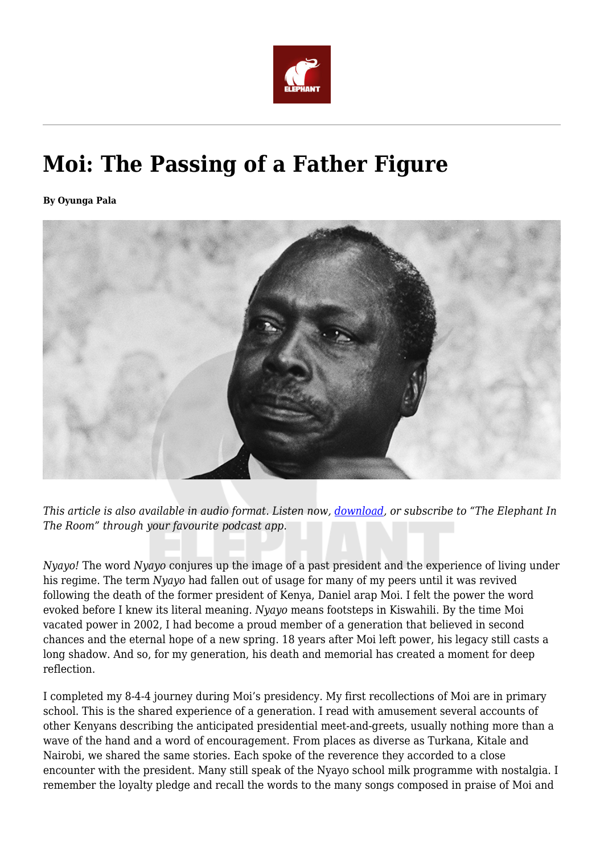

## **Moi: The Passing of a Father Figure**

**By Oyunga Pala**



*This article is also available in audio format. Listen now, [download](http://feeds.soundcloud.com/stream/770555620-theelephantinfo-nyayo-the-passing-of-a-father-figure.mp3), or subscribe to "The Elephant In The Room" through your favourite podcast app.*

*Nyayo!* The word *Nyayo* conjures up the image of a past president and the experience of living under his regime. The term *Nyayo* had fallen out of usage for many of my peers until it was revived following the death of the former president of Kenya, Daniel arap Moi. I felt the power the word evoked before I knew its literal meaning. *Nyayo* means footsteps in Kiswahili. By the time Moi vacated power in 2002, I had become a proud member of a generation that believed in second chances and the eternal hope of a new spring. 18 years after Moi left power, his legacy still casts a long shadow. And so, for my generation, his death and memorial has created a moment for deep reflection.

I completed my 8-4-4 journey during Moi's presidency. My first recollections of Moi are in primary school. This is the shared experience of a generation. I read with amusement several accounts of other Kenyans describing the anticipated presidential meet-and-greets, usually nothing more than a wave of the hand and a word of encouragement. From places as diverse as Turkana, Kitale and Nairobi, we shared the same stories. Each spoke of the reverence they accorded to a close encounter with the president. Many still speak of the Nyayo school milk programme with nostalgia. I remember the loyalty pledge and recall the words to the many songs composed in praise of Moi and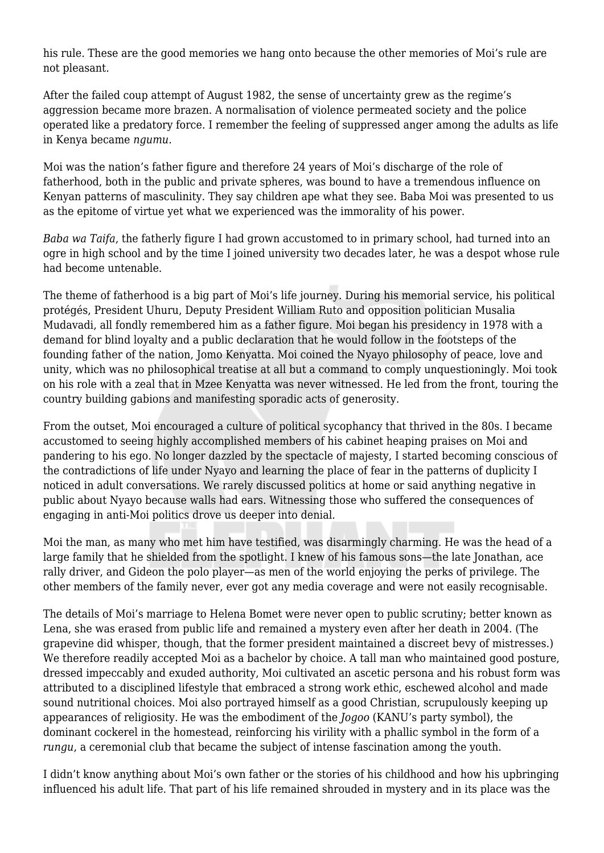his rule. These are the good memories we hang onto because the other memories of Moi's rule are not pleasant.

After the failed coup attempt of August 1982, the sense of uncertainty grew as the regime's aggression became more brazen. A normalisation of violence permeated society and the police operated like a predatory force. I remember the feeling of suppressed anger among the adults as life in Kenya became *ngumu.*

Moi was the nation's father figure and therefore 24 years of Moi's discharge of the role of fatherhood, both in the public and private spheres, was bound to have a tremendous influence on Kenyan patterns of masculinity. They say children ape what they see. Baba Moi was presented to us as the epitome of virtue yet what we experienced was the immorality of his power.

*Baba wa Taifa*, the fatherly figure I had grown accustomed to in primary school, had turned into an ogre in high school and by the time I joined university two decades later, he was a despot whose rule had become untenable.

The theme of fatherhood is a big part of Moi's life journey. During his memorial service, his political protégés, President Uhuru, Deputy President William Ruto and opposition politician Musalia Mudavadi, all fondly remembered him as a father figure. Moi began his presidency in 1978 with a demand for blind loyalty and a public declaration that he would follow in the footsteps of the founding father of the nation, Jomo Kenyatta. Moi coined the Nyayo philosophy of peace, love and unity, which was no philosophical treatise at all but a command to comply unquestioningly. Moi took on his role with a zeal that in Mzee Kenyatta was never witnessed. He led from the front, touring the country building gabions and manifesting sporadic acts of generosity.

From the outset, Moi encouraged a culture of political sycophancy that thrived in the 80s. I became accustomed to seeing highly accomplished members of his cabinet heaping praises on Moi and pandering to his ego. No longer dazzled by the spectacle of majesty, I started becoming conscious of the contradictions of life under Nyayo and learning the place of fear in the patterns of duplicity I noticed in adult conversations. We rarely discussed politics at home or said anything negative in public about Nyayo because walls had ears. Witnessing those who suffered the consequences of engaging in anti-Moi politics drove us deeper into denial.

Moi the man, as many who met him have testified, was disarmingly charming. He was the head of a large family that he shielded from the spotlight. I knew of his famous sons—the late Jonathan, ace rally driver, and Gideon the polo player—as men of the world enjoying the perks of privilege. The other members of the family never, ever got any media coverage and were not easily recognisable.

The details of Moi's marriage to Helena Bomet were never open to public scrutiny; better known as Lena, she was erased from public life and remained a mystery even after her death in 2004. (The grapevine did whisper, though, that the former president maintained a discreet bevy of mistresses.) We therefore readily accepted Moi as a bachelor by choice. A tall man who maintained good posture, dressed impeccably and exuded authority, Moi cultivated an ascetic persona and his robust form was attributed to a disciplined lifestyle that embraced a strong work ethic, eschewed alcohol and made sound nutritional choices. Moi also portrayed himself as a good Christian, scrupulously keeping up appearances of religiosity. He was the embodiment of the *Jogoo* (KANU's party symbol), the dominant cockerel in the homestead, reinforcing his virility with a phallic symbol in the form of a *rungu*, a ceremonial club that became the subject of intense fascination among the youth.

I didn't know anything about Moi's own father or the stories of his childhood and how his upbringing influenced his adult life. That part of his life remained shrouded in mystery and in its place was the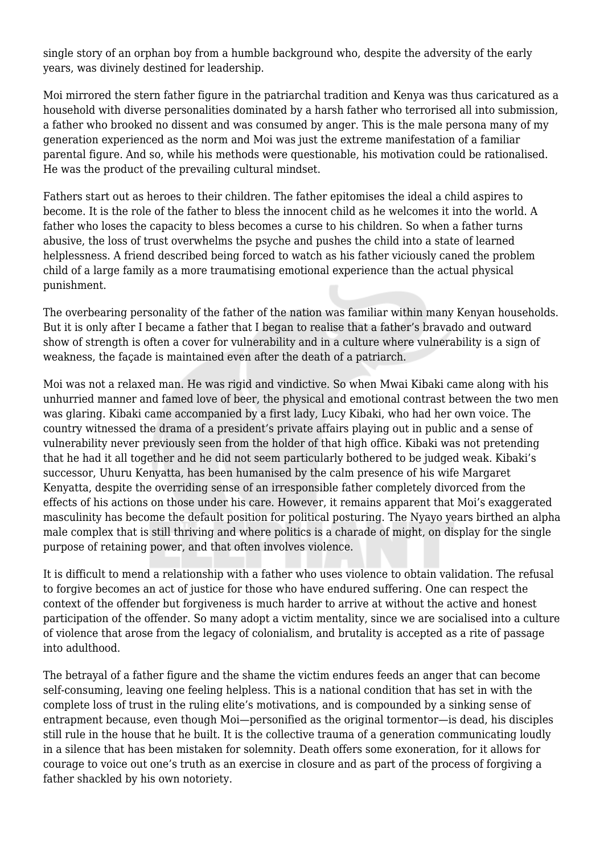single story of an orphan boy from a humble background who, despite the adversity of the early years, was divinely destined for leadership.

Moi mirrored the stern father figure in the patriarchal tradition and Kenya was thus caricatured as a household with diverse personalities dominated by a harsh father who terrorised all into submission, a father who brooked no dissent and was consumed by anger. This is the male persona many of my generation experienced as the norm and Moi was just the extreme manifestation of a familiar parental figure. And so, while his methods were questionable, his motivation could be rationalised. He was the product of the prevailing cultural mindset.

Fathers start out as heroes to their children. The father epitomises the ideal a child aspires to become. It is the role of the father to bless the innocent child as he welcomes it into the world. A father who loses the capacity to bless becomes a curse to his children. So when a father turns abusive, the loss of trust overwhelms the psyche and pushes the child into a state of learned helplessness. A friend described being forced to watch as his father viciously caned the problem child of a large family as a more traumatising emotional experience than the actual physical punishment.

The overbearing personality of the father of the nation was familiar within many Kenyan households. But it is only after I became a father that I began to realise that a father's bravado and outward show of strength is often a cover for vulnerability and in a culture where vulnerability is a sign of weakness, the façade is maintained even after the death of a patriarch.

Moi was not a relaxed man. He was rigid and vindictive. So when Mwai Kibaki came along with his unhurried manner and famed love of beer, the physical and emotional contrast between the two men was glaring. Kibaki came accompanied by a first lady, Lucy Kibaki, who had her own voice. The country witnessed the drama of a president's private affairs playing out in public and a sense of vulnerability never previously seen from the holder of that high office. Kibaki was not pretending that he had it all together and he did not seem particularly bothered to be judged weak. Kibaki's successor, Uhuru Kenyatta, has been humanised by the calm presence of his wife Margaret Kenyatta, despite the overriding sense of an irresponsible father completely divorced from the effects of his actions on those under his care. However, it remains apparent that Moi's exaggerated masculinity has become the default position for political posturing. The Nyayo years birthed an alpha male complex that is still thriving and where politics is a charade of might, on display for the single purpose of retaining power, and that often involves violence.

It is difficult to mend a relationship with a father who uses violence to obtain validation. The refusal to forgive becomes an act of justice for those who have endured suffering. One can respect the context of the offender but forgiveness is much harder to arrive at without the active and honest participation of the offender. So many adopt a victim mentality, since we are socialised into a culture of violence that arose from the legacy of colonialism, and brutality is accepted as a rite of passage into adulthood.

The betrayal of a father figure and the shame the victim endures feeds an anger that can become self-consuming, leaving one feeling helpless. This is a national condition that has set in with the complete loss of trust in the ruling elite's motivations, and is compounded by a sinking sense of entrapment because, even though Moi—personified as the original tormentor—is dead, his disciples still rule in the house that he built. It is the collective trauma of a generation communicating loudly in a silence that has been mistaken for solemnity. Death offers some exoneration, for it allows for courage to voice out one's truth as an exercise in closure and as part of the process of forgiving a father shackled by his own notoriety.